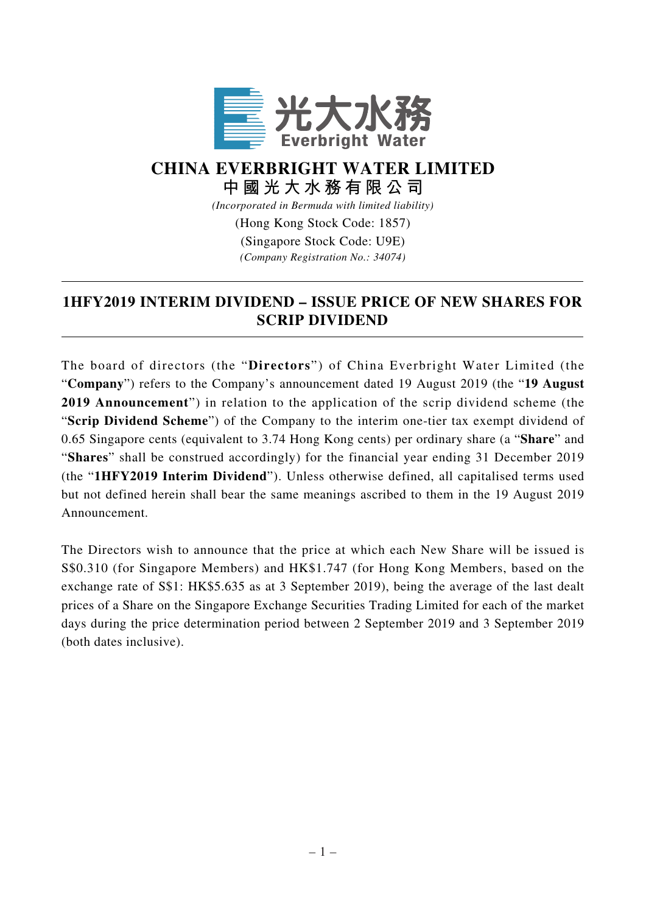

## **CHINA EVERBRIGHT WATER LIMITED 中國光大水務有限公司**

*(Incorporated in Bermuda with limited liability)*

(Hong Kong Stock Code: 1857)

(Singapore Stock Code: U9E) *(Company Registration No.: 34074)*

## **1HFY2019 INTERIM DIVIDEND – ISSUE PRICE OF NEW SHARES FOR SCRIP DIVIDEND**

The board of directors (the "**Directors**") of China Everbright Water Limited (the "**Company**") refers to the Company's announcement dated 19 August 2019 (the "**19 August 2019 Announcement**") in relation to the application of the scrip dividend scheme (the "**Scrip Dividend Scheme**") of the Company to the interim one-tier tax exempt dividend of 0.65 Singapore cents (equivalent to 3.74 Hong Kong cents) per ordinary share (a "**Share**" and "**Shares**" shall be construed accordingly) for the financial year ending 31 December 2019 (the "**1HFY2019 Interim Dividend**"). Unless otherwise defined, all capitalised terms used but not defined herein shall bear the same meanings ascribed to them in the 19 August 2019 Announcement.

The Directors wish to announce that the price at which each New Share will be issued is S\$0.310 (for Singapore Members) and HK\$1.747 (for Hong Kong Members, based on the exchange rate of S\$1: HK\$5.635 as at 3 September 2019), being the average of the last dealt prices of a Share on the Singapore Exchange Securities Trading Limited for each of the market days during the price determination period between 2 September 2019 and 3 September 2019 (both dates inclusive).